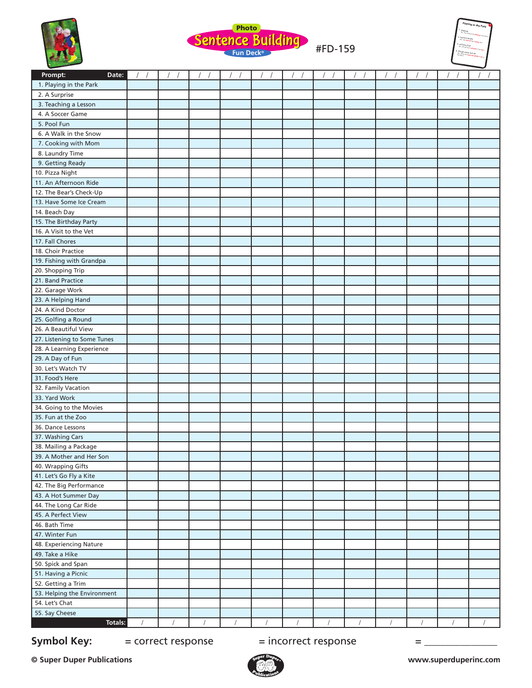





| Prompt:<br>Date:                              | $\sqrt{2}$<br>$\sqrt{ }$ | $\sqrt{2}$ | $\sqrt{2}$<br>$\sqrt{2}$ | $\sqrt{2}$ | $\sqrt{2}$<br>$\sqrt{ }$ | $\sqrt{2}$ | $\sqrt{2}$<br>$\sqrt{ }$ | $\overline{1}$ | $\prime$<br>$\sqrt{2}$ | $\sqrt{ }$ | $\sqrt{2}$ |          |
|-----------------------------------------------|--------------------------|------------|--------------------------|------------|--------------------------|------------|--------------------------|----------------|------------------------|------------|------------|----------|
| 1. Playing in the Park                        |                          |            |                          |            |                          |            |                          |                |                        |            |            |          |
| 2. A Surprise                                 |                          |            |                          |            |                          |            |                          |                |                        |            |            |          |
| 3. Teaching a Lesson                          |                          |            |                          |            |                          |            |                          |                |                        |            |            |          |
| 4. A Soccer Game                              |                          |            |                          |            |                          |            |                          |                |                        |            |            |          |
| 5. Pool Fun                                   |                          |            |                          |            |                          |            |                          |                |                        |            |            |          |
| 6. A Walk in the Snow                         |                          |            |                          |            |                          |            |                          |                |                        |            |            |          |
| 7. Cooking with Mom                           |                          |            |                          |            |                          |            |                          |                |                        |            |            |          |
| 8. Laundry Time                               |                          |            |                          |            |                          |            |                          |                |                        |            |            |          |
| 9. Getting Ready                              |                          |            |                          |            |                          |            |                          |                |                        |            |            |          |
| 10. Pizza Night                               |                          |            |                          |            |                          |            |                          |                |                        |            |            |          |
| 11. An Afternoon Ride                         |                          |            |                          |            |                          |            |                          |                |                        |            |            |          |
| 12. The Bear's Check-Up                       |                          |            |                          |            |                          |            |                          |                |                        |            |            |          |
| 13. Have Some Ice Cream                       |                          |            |                          |            |                          |            |                          |                |                        |            |            |          |
| 14. Beach Day                                 |                          |            |                          |            |                          |            |                          |                |                        |            |            |          |
| 15. The Birthday Party                        |                          |            |                          |            |                          |            |                          |                |                        |            |            |          |
| 16. A Visit to the Vet                        |                          |            |                          |            |                          |            |                          |                |                        |            |            |          |
| 17. Fall Chores                               |                          |            |                          |            |                          |            |                          |                |                        |            |            |          |
| 18. Choir Practice                            |                          |            |                          |            |                          |            |                          |                |                        |            |            |          |
| 19. Fishing with Grandpa                      |                          |            |                          |            |                          |            |                          |                |                        |            |            |          |
| 20. Shopping Trip                             |                          |            |                          |            |                          |            |                          |                |                        |            |            |          |
| 21. Band Practice                             |                          |            |                          |            |                          |            |                          |                |                        |            |            |          |
| 22. Garage Work                               |                          |            |                          |            |                          |            |                          |                |                        |            |            |          |
| 23. A Helping Hand                            |                          |            |                          |            |                          |            |                          |                |                        |            |            |          |
| 24. A Kind Doctor                             |                          |            |                          |            |                          |            |                          |                |                        |            |            |          |
| 25. Golfing a Round                           |                          |            |                          |            |                          |            |                          |                |                        |            |            |          |
| 26. A Beautiful View                          |                          |            |                          |            |                          |            |                          |                |                        |            |            |          |
| 27. Listening to Some Tunes                   |                          |            |                          |            |                          |            |                          |                |                        |            |            |          |
| 28. A Learning Experience                     |                          |            |                          |            |                          |            |                          |                |                        |            |            |          |
| 29. A Day of Fun                              |                          |            |                          |            |                          |            |                          |                |                        |            |            |          |
| 30. Let's Watch TV                            |                          |            |                          |            |                          |            |                          |                |                        |            |            |          |
| 31. Food's Here                               |                          |            |                          |            |                          |            |                          |                |                        |            |            |          |
| 32. Family Vacation                           |                          |            |                          |            |                          |            |                          |                |                        |            |            |          |
| 33. Yard Work                                 |                          |            |                          |            |                          |            |                          |                |                        |            |            |          |
| 34. Going to the Movies                       |                          |            |                          |            |                          |            |                          |                |                        |            |            |          |
| 35. Fun at the Zoo                            |                          |            |                          |            |                          |            |                          |                |                        |            |            |          |
| 36. Dance Lessons                             |                          |            |                          |            |                          |            |                          |                |                        |            |            |          |
| 37. Washing Cars                              |                          |            |                          |            |                          |            |                          |                |                        |            |            |          |
| 38. Mailing a Package                         |                          |            |                          |            |                          |            |                          |                |                        |            |            |          |
| 39. A Mother and Her Son                      |                          |            |                          |            |                          |            |                          |                |                        |            |            |          |
| 40. Wrapping Gifts                            |                          |            |                          |            |                          |            |                          |                |                        |            |            |          |
| 41. Let's Go Fly a Kite                       |                          |            |                          |            |                          |            |                          |                |                        |            |            |          |
| 42. The Big Performance                       |                          |            |                          |            |                          |            |                          |                |                        |            |            |          |
| 43. A Hot Summer Day                          |                          |            |                          |            |                          |            |                          |                |                        |            |            |          |
| 44. The Long Car Ride                         |                          |            |                          |            |                          |            |                          |                |                        |            |            |          |
| 45. A Perfect View                            |                          |            |                          |            |                          |            |                          |                |                        |            |            |          |
| 46. Bath Time                                 |                          |            |                          |            |                          |            |                          |                |                        |            |            |          |
| 47. Winter Fun                                |                          |            |                          |            |                          |            |                          |                |                        |            |            |          |
| 48. Experiencing Nature                       |                          |            |                          |            |                          |            |                          |                |                        |            |            |          |
| 49. Take a Hike                               |                          |            |                          |            |                          |            |                          |                |                        |            |            |          |
| 50. Spick and Span                            |                          |            |                          |            |                          |            |                          |                |                        |            |            |          |
| 51. Having a Picnic                           |                          |            |                          |            |                          |            |                          |                |                        |            |            |          |
| 52. Getting a Trim                            |                          |            |                          |            |                          |            |                          |                |                        |            |            |          |
| 53. Helping the Environment<br>54. Let's Chat |                          |            |                          |            |                          |            |                          |                |                        |            |            |          |
| 55. Say Cheese                                |                          |            |                          |            |                          |            |                          |                |                        |            |            |          |
| <b>Totals:</b>                                |                          |            |                          |            |                          |            |                          |                |                        |            |            | $\prime$ |
|                                               |                          |            |                          |            |                          |            |                          |                |                        |            |            |          |

## **Symbol Key:**  $=$  correct response  $=$  incorrect response  $=$   $=$